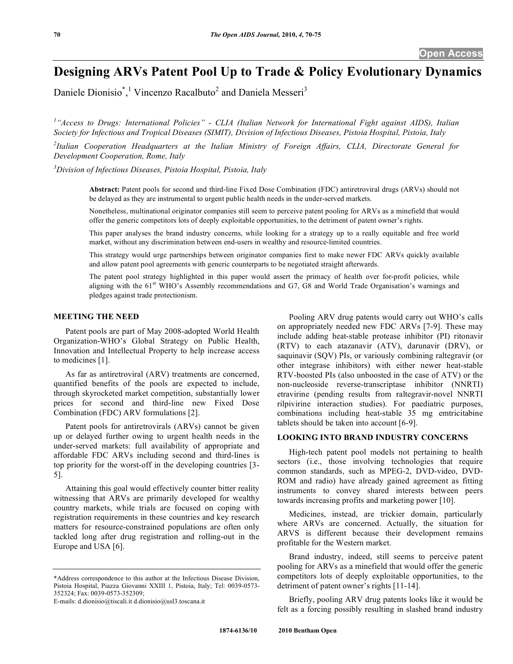# **Designing ARVs Patent Pool Up to Trade & Policy Evolutionary Dynamics**

Daniele Dionisio<sup>\*</sup>,<sup>1</sup> Vincenzo Racalbuto<sup>2</sup> and Daniela Messeri<sup>3</sup>

<sup>1</sup>"Access to Drugs: International Policies" - CLIA (Italian Network for International Fight against AIDS), Italian *Society for Infectious and Tropical Diseases (SIMIT), Division of Infectious Diseases, Pistoia Hospital, Pistoia, Italy* 

*2 Italian Cooperation Headquarters at the Italian Ministry of Foreign Affairs, CLIA, Directorate General for Development Cooperation, Rome, Italy* 

*3 Division of Infectious Diseases, Pistoia Hospital, Pistoia, Italy* 

**Abstract:** Patent pools for second and third-line Fixed Dose Combination (FDC) antiretroviral drugs (ARVs) should not be delayed as they are instrumental to urgent public health needs in the under-served markets.

Nonetheless, multinational originator companies still seem to perceive patent pooling for ARVs as a minefield that would offer the generic competitors lots of deeply exploitable opportunities, to the detriment of patent owner's rights.

This paper analyses the brand industry concerns, while looking for a strategy up to a really equitable and free world market, without any discrimination between end-users in wealthy and resource-limited countries.

This strategy would urge partnerships between originator companies first to make newer FDC ARVs quickly available and allow patent pool agreements with generic counterparts to be negotiated straight afterwards.

The patent pool strategy highlighted in this paper would assert the primacy of health over for-profit policies, while aligning with the 61<sup>st</sup> WHO's Assembly recommendations and G7, G8 and World Trade Organisation's warnings and pledges against trade protectionism.

### **MEETING THE NEED**

 Patent pools are part of May 2008-adopted World Health Organization-WHO's Global Strategy on Public Health, Innovation and Intellectual Property to help increase access to medicines [1].

 As far as antiretroviral (ARV) treatments are concerned, quantified benefits of the pools are expected to include, through skyrocketed market competition, substantially lower prices for second and third-line new Fixed Dose Combination (FDC) ARV formulations [2].

 Patent pools for antiretrovirals (ARVs) cannot be given up or delayed further owing to urgent health needs in the under-served markets: full availability of appropriate and affordable FDC ARVs including second and third-lines is top priority for the worst-off in the developing countries [3- 5].

 Attaining this goal would effectively counter bitter reality witnessing that ARVs are primarily developed for wealthy country markets, while trials are focused on coping with registration requirements in these countries and key research matters for resource-constrained populations are often only tackled long after drug registration and rolling-out in the Europe and USA [6].

E-mails: d.dionisio@tiscali.it d.dionisio@usl3.toscana.it

 Pooling ARV drug patents would carry out WHO's calls on appropriately needed new FDC ARVs [7-9]. These may include adding heat-stable protease inhibitor (PI) ritonavir (RTV) to each atazanavir (ATV), darunavir (DRV), or saquinavir (SQV) PIs, or variously combining raltegravir (or other integrase inhibitors) with either newer heat-stable RTV-boosted PIs (also unboosted in the case of ATV) or the non-nucleoside reverse-transcriptase inhibitor (NNRTI) etravirine (pending results from raltegravir-novel NNRTI rilpivirine interaction studies). For paediatric purposes, combinations including heat-stable 35 mg emtricitabine tablets should be taken into account [6-9].

## **LOOKING INTO BRAND INDUSTRY CONCERNS**

 High-tech patent pool models not pertaining to health sectors (i.e., those involving technologies that require common standards, such as MPEG-2, DVD-video, DVD-ROM and radio) have already gained agreement as fitting instruments to convey shared interests between peers towards increasing profits and marketing power [10].

 Medicines, instead, are trickier domain, particularly where ARVs are concerned. Actually, the situation for ARVS is different because their development remains profitable for the Western market.

 Brand industry, indeed, still seems to perceive patent pooling for ARVs as a minefield that would offer the generic competitors lots of deeply exploitable opportunities, to the detriment of patent owner's rights [11-14].

 Briefly, pooling ARV drug patents looks like it would be felt as a forcing possibly resulting in slashed brand industry

<sup>\*</sup>Address correspondence to this author at the Infectious Disease Division, Pistoia Hospital, Piazza Giovanni XXIII 1, Pistoia, Italy; Tel: 0039-0573- 352324; Fax: 0039-0573-352309;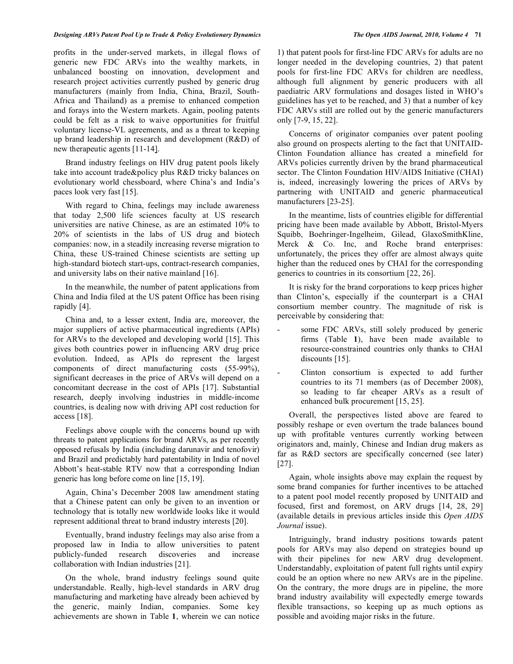profits in the under-served markets, in illegal flows of generic new FDC ARVs into the wealthy markets, in unbalanced boosting on innovation, development and research project activities currently pushed by generic drug manufacturers (mainly from India, China, Brazil, South-Africa and Thailand) as a premise to enhanced competion and forays into the Western markets. Again, pooling patents could be felt as a risk to waive opportunities for fruitful voluntary license-VL agreements, and as a threat to keeping up brand leadership in research and development (R&D) of new therapeutic agents [11-14].

 Brand industry feelings on HIV drug patent pools likely take into account trade&policy plus R&D tricky balances on evolutionary world chessboard, where China's and India's paces look very fast [15].

 With regard to China, feelings may include awareness that today 2,500 life sciences faculty at US research universities are native Chinese, as are an estimated 10% to 20% of scientists in the labs of US drug and biotech companies: now, in a steadily increasing reverse migration to China, these US-trained Chinese scientists are setting up high-standard biotech start-ups, contract-research companies, and university labs on their native mainland [16].

 In the meanwhile, the number of patent applications from China and India filed at the US patent Office has been rising rapidly [4].

 China and, to a lesser extent, India are, moreover, the major suppliers of active pharmaceutical ingredients (APIs) for ARVs to the developed and developing world [15]. This gives both countries power in influencing ARV drug price evolution. Indeed, as APIs do represent the largest components of direct manufacturing costs (55-99%), significant decreases in the price of ARVs will depend on a concomitant decrease in the cost of APIs [17]. Substantial research, deeply involving industries in middle-income countries, is dealing now with driving API cost reduction for access [18].

 Feelings above couple with the concerns bound up with threats to patent applications for brand ARVs, as per recently opposed refusals by India (including darunavir and tenofovir) and Brazil and predictably hard patentability in India of novel Abbott's heat-stable RTV now that a corresponding Indian generic has long before come on line [15, 19].

 Again, China's December 2008 law amendment stating that a Chinese patent can only be given to an invention or technology that is totally new worldwide looks like it would represent additional threat to brand industry interests [20].

 Eventually, brand industry feelings may also arise from a proposed law in India to allow universities to patent publicly-funded research discoveries and increase collaboration with Indian industries [21].

 On the whole, brand industry feelings sound quite understandable. Really, high-level standards in ARV drug manufacturing and marketing have already been achieved by the generic, mainly Indian, companies. Some key achievements are shown in Table **1**, wherein we can notice

1) that patent pools for first-line FDC ARVs for adults are no longer needed in the developing countries, 2) that patent pools for first-line FDC ARVs for children are needless, although full alignment by generic producers with all paediatric ARV formulations and dosages listed in WHO's guidelines has yet to be reached, and 3) that a number of key FDC ARVs still are rolled out by the generic manufacturers only [7-9, 15, 22].

 Concerns of originator companies over patent pooling also ground on prospects alerting to the fact that UNITAID-Clinton Foundation alliance has created a minefield for ARVs policies currently driven by the brand pharmaceutical sector. The Clinton Foundation HIV/AIDS Initiative (CHAI) is, indeed, increasingly lowering the prices of ARVs by partnering with UNITAID and generic pharmaceutical manufacturers [23-25].

 In the meantime, lists of countries eligible for differential pricing have been made available by Abbott, Bristol-Myers Squibb, Boehringer-Ingelheim, Gilead, GlaxoSmithKline, Merck & Co. Inc, and Roche brand enterprises: unfortunately, the prices they offer are almost always quite higher than the reduced ones by CHAI for the corresponding generics to countries in its consortium [22, 26].

 It is risky for the brand corporations to keep prices higher than Clinton's, especially if the counterpart is a CHAI consortium member country. The magnitude of risk is perceivable by considering that:

- some FDC ARVs, still solely produced by generic firms (Table **1**), have been made available to resource-constrained countries only thanks to CHAI discounts [15].
- Clinton consortium is expected to add further countries to its 71 members (as of December 2008), so leading to far cheaper ARVs as a result of enhanced bulk procurement [15, 25].

 Overall, the perspectives listed above are feared to possibly reshape or even overturn the trade balances bound up with profitable ventures currently working between originators and, mainly, Chinese and Indian drug makers as far as R&D sectors are specifically concerned (see later) [27].

 Again, whole insights above may explain the request by some brand companies for further incentives to be attached to a patent pool model recently proposed by UNITAID and focused, first and foremost, on ARV drugs [14, 28, 29] (available details in previous articles inside this *Open AIDS Journal* issue).

 Intriguingly, brand industry positions towards patent pools for ARVs may also depend on strategies bound up with their pipelines for new ARV drug development. Understandably, exploitation of patent full rights until expiry could be an option where no new ARVs are in the pipeline. On the contrary, the more drugs are in pipeline, the more brand industry availability will expectedly emerge towards flexible transactions, so keeping up as much options as possible and avoiding major risks in the future.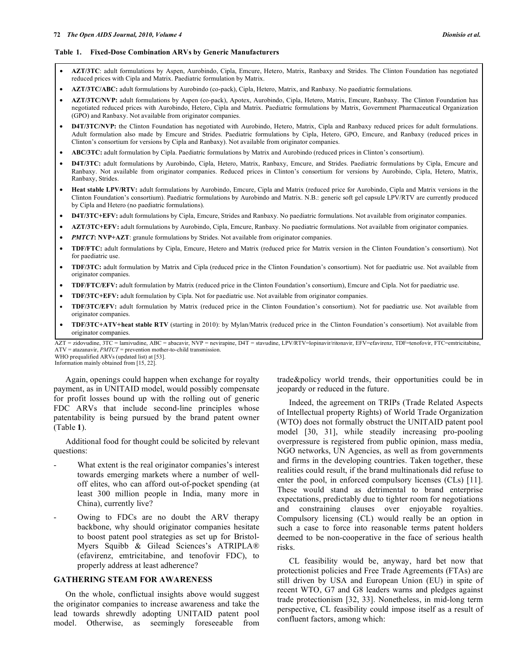#### **Table 1. Fixed-Dose Combination ARVs by Generic Manufacturers**

- **AZT/3TC**: adult formulations by Aspen, Aurobindo, Cipla, Emcure, Hetero, Matrix, Ranbaxy and Strides. The Clinton Foundation has negotiated reduced prices with Cipla and Matrix. Paediatric formulation by Matrix.
- **AZT/3TC/ABC:** adult formulations by Aurobindo (co-pack), Cipla, Hetero, Matrix, and Ranbaxy. No paediatric formulations.
- **AZT/3TC/NVP:** adult formulations by Aspen (co-pack), Apotex, Aurobindo, Cipla, Hetero, Matrix, Emcure, Ranbaxy. The Clinton Foundation has negotiated reduced prices with Aurobindo, Hetero, Cipla and Matrix. Paediatric formulations by Matrix, Government Pharmaceutical Organization (GPO) and Ranbaxy. Not available from originator companies.
- **D4T/3TC/NVP:** the Clinton Foundation has negotiated with Aurobindo, Hetero, Matrix, Cipla and Ranbaxy reduced prices for adult formulations. Adult formulation also made by Emcure and Strides. Paediatric formulations by Cipla, Hetero, GPO, Emcure, and Ranbaxy (reduced prices in Clinton's consortium for versions by Cipla and Ranbaxy). Not available from originator companies.
- **ABC/3TC:** adult formulation by Cipla. Paediatric formulations by Matrix and Aurobindo (reduced prices in Clinton's consortium).
- **D4T/3TC:** adult formulations by Aurobindo, Cipla, Hetero, Matrix, Ranbaxy, Emcure, and Strides. Paediatric formulations by Cipla, Emcure and Ranbaxy. Not available from originator companies. Reduced prices in Clinton's consortium for versions by Aurobindo, Cipla, Hetero, Matrix, Ranbaxy, Strides.
- **Heat stable LPV/RTV:** adult formulations by Aurobindo, Emcure, Cipla and Matrix (reduced price for Aurobindo, Cipla and Matrix versions in the Clinton Foundation's consortium). Paediatric formulations by Aurobindo and Matrix. N.B.: generic soft gel capsule LPV/RTV are currently produced by Cipla and Hetero (no paediatric formulations).
- **D4T/3TC+EFV:** adult formulations by Cipla, Emcure, Strides and Ranbaxy. No paediatric formulations. Not available from originator companies.
- **AZT/3TC+EFV:** adult formulations by Aurobindo, Cipla, Emcure, Ranbaxy. No paediatric formulations. Not available from originator companies.
- *PMTCT***: NVP+AZT**: granule formulations by Strides. Not available from originator companies.
- **TDF/FTC:** adult formulations by Cipla, Emcure, Hetero and Matrix (reduced price for Matrix version in the Clinton Foundation's consortium). Not for paediatric use.
- **TDF/3TC:** adult formulation by Matrix and Cipla (reduced price in the Clinton Foundation's consortium). Not for paediatric use. Not available from originator companies.
- **TDF/FTC/EFV:** adult formulation by Matrix (reduced price in the Clinton Foundation's consortium), Emcure and Cipla. Not for paediatric use.
- **TDF/3TC+EFV:** adult formulation by Cipla. Not for paediatric use. Not available from originator companies.
- **TDF/3TC/EFV:** adult formulation by Matrix (reduced price in the Clinton Foundation's consortium). Not for paediatric use. Not available from originator companies.
- **TDF/3TC+ATV+heat stable RTV** (starting in 2010): by Mylan/Matrix (reduced price in the Clinton Foundation's consortium). Not available from originator companies.

AZT = zidovudine, 3TC = lamivudine, ABC = abacavir, NVP = nevirapine, D4T = stavudine, LPV/RTV=lopinavir/ritonavir, EFV=efavirenz, TDF=tenofovir, FTC=emtricitabine, ATV = atazanavir, *PMTCT* = prevention mother-to-child transmission. WHO prequalified ARVs (updated list) at [53].

 Again, openings could happen when exchange for royalty payment, as in UNITAID model, would possibly compensate for profit losses bound up with the rolling out of generic FDC ARVs that include second-line principles whose patentability is being pursued by the brand patent owner (Table **1**).

 Additional food for thought could be solicited by relevant questions:

- What extent is the real originator companies's interest towards emerging markets where a number of welloff elites, who can afford out-of-pocket spending (at least 300 million people in India, many more in China), currently live?
- Owing to FDCs are no doubt the ARV therapy backbone, why should originator companies hesitate to boost patent pool strategies as set up for Bristol-Myers Squibb & Gilead Sciences's ATRIPLA® (efavirenz, emtricitabine, and tenofovir FDC), to properly address at least adherence?

### **GATHERING STEAM FOR AWARENESS**

 On the whole, conflictual insights above would suggest the originator companies to increase awareness and take the lead towards shrewdly adopting UNITAID patent pool model. Otherwise, as seemingly foreseeable from

trade&policy world trends, their opportunities could be in jeopardy or reduced in the future.

 Indeed, the agreement on TRIPs (Trade Related Aspects of Intellectual property Rights) of World Trade Organization (WTO) does not formally obstruct the UNITAID patent pool model [30, 31], while steadily increasing pro-pooling overpressure is registered from public opinion, mass media, NGO networks, UN Agencies, as well as from governments and firms in the developing countries. Taken together, these realities could result, if the brand multinationals did refuse to enter the pool, in enforced compulsory licenses (CLs) [11]. These would stand as detrimental to brand enterprise expectations, predictably due to tighter room for negotiations and constraining clauses over enjoyable royalties. Compulsory licensing (CL) would really be an option in such a case to force into reasonable terms patent holders deemed to be non-cooperative in the face of serious health risks.

 CL feasibility would be, anyway, hard bet now that protectionist policies and Free Trade Agreements (FTAs) are still driven by USA and European Union (EU) in spite of recent WTO, G7 and G8 leaders warns and pledges against trade protectionism [32, 33]. Nonetheless, in mid-long term perspective, CL feasibility could impose itself as a result of confluent factors, among which:

Information mainly obtained from [15, 22].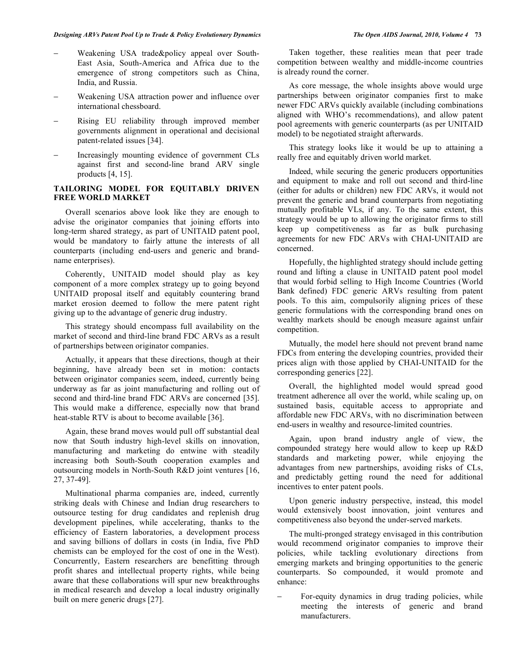- Weakening USA trade&policy appeal over South-East Asia, South-America and Africa due to the emergence of strong competitors such as China, India, and Russia.
- Weakening USA attraction power and influence over international chessboard.
- Rising EU reliability through improved member governments alignment in operational and decisional patent-related issues [34].
- Increasingly mounting evidence of government CLs against first and second-line brand ARV single products [4, 15].

## **TAILORING MODEL FOR EQUITABLY DRIVEN FREE WORLD MARKET**

 Overall scenarios above look like they are enough to advise the originator companies that joining efforts into long-term shared strategy, as part of UNITAID patent pool, would be mandatory to fairly attune the interests of all counterparts (including end-users and generic and brandname enterprises).

 Coherently, UNITAID model should play as key component of a more complex strategy up to going beyond UNITAID proposal itself and equitably countering brand market erosion deemed to follow the mere patent right giving up to the advantage of generic drug industry.

 This strategy should encompass full availability on the market of second and third-line brand FDC ARVs as a result of partnerships between originator companies.

 Actually, it appears that these directions, though at their beginning, have already been set in motion: contacts between originator companies seem, indeed, currently being underway as far as joint manufacturing and rolling out of second and third-line brand FDC ARVs are concerned [35]. This would make a difference, especially now that brand heat-stable RTV is about to become available [36].

 Again, these brand moves would pull off substantial deal now that South industry high-level skills on innovation, manufacturing and marketing do entwine with steadily increasing both South-South cooperation examples and outsourcing models in North-South R&D joint ventures [16, 27, 37-49].

 Multinational pharma companies are, indeed, currently striking deals with Chinese and Indian drug researchers to outsource testing for drug candidates and replenish drug development pipelines, while accelerating, thanks to the efficiency of Eastern laboratories, a development process and saving billions of dollars in costs (in India, five PhD chemists can be employed for the cost of one in the West). Concurrently, Eastern researchers are benefitting through profit shares and intellectual property rights, while being aware that these collaborations will spur new breakthroughs in medical research and develop a local industry originally built on mere generic drugs [27].

 Taken together, these realities mean that peer trade competition between wealthy and middle-income countries is already round the corner.

 As core message, the whole insights above would urge partnerships between originator companies first to make newer FDC ARVs quickly available (including combinations aligned with WHO's recommendations), and allow patent pool agreements with generic counterparts (as per UNITAID model) to be negotiated straight afterwards.

 This strategy looks like it would be up to attaining a really free and equitably driven world market.

 Indeed, while securing the generic producers opportunities and equipment to make and roll out second and third-line (either for adults or children) new FDC ARVs, it would not prevent the generic and brand counterparts from negotiating mutually profitable VLs, if any. To the same extent, this strategy would be up to allowing the originator firms to still keep up competitiveness as far as bulk purchasing agreements for new FDC ARVs with CHAI-UNITAID are concerned.

 Hopefully, the highlighted strategy should include getting round and lifting a clause in UNITAID patent pool model that would forbid selling to High Income Countries (World Bank defined) FDC generic ARVs resulting from patent pools. To this aim, compulsorily aligning prices of these generic formulations with the corresponding brand ones on wealthy markets should be enough measure against unfair competition.

 Mutually, the model here should not prevent brand name FDCs from entering the developing countries, provided their prices align with those applied by CHAI-UNITAID for the corresponding generics [22].

 Overall, the highlighted model would spread good treatment adherence all over the world, while scaling up, on sustained basis, equitable access to appropriate and affordable new FDC ARVs, with no discrimination between end-users in wealthy and resource-limited countries.

 Again, upon brand industry angle of view, the compounded strategy here would allow to keep up R&D standards and marketing power, while enjoying the advantages from new partnerships, avoiding risks of CLs, and predictably getting round the need for additional incentives to enter patent pools.

 Upon generic industry perspective, instead, this model would extensively boost innovation, joint ventures and competitiveness also beyond the under-served markets.

 The multi-pronged strategy envisaged in this contribution would recommend originator companies to improve their policies, while tackling evolutionary directions from emerging markets and bringing opportunities to the generic counterparts. So compounded, it would promote and enhance:

 For-equity dynamics in drug trading policies, while meeting the interests of generic and brand manufacturers.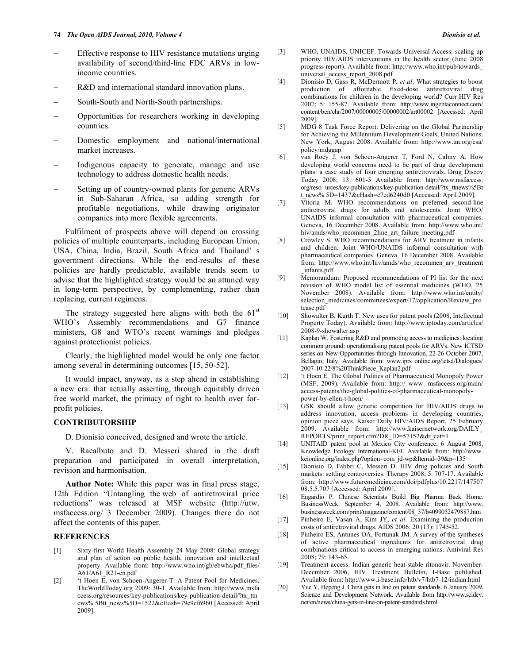- Effective response to HIV resistance mutations urging availability of second/third-line FDC ARVs in lowincome countries.
- R&D and international standard innovation plans.
- South-South and North-South partnerships.
- Opportunities for researchers working in developing countries.
- Domestic employment and national/international market increases.
- Indigenous capacity to generate, manage and use technology to address domestic health needs.
- Setting up of country-owned plants for generic ARVs in Sub-Saharan Africa, so adding strength for profitable negotiations, while drawing originator companies into more flexible agreements.

 Fulfilment of prospects above will depend on crossing policies of multiple counterparts, including European Union, USA, China, India, Brazil, South Africa and Thailand' s government directions. While the end-results of these policies are hardly predictable, available trends seem to advise that the highlighted strategy would be an attuned way in long-term perspective, by complementing, rather than replacing, current regimens.

The strategy suggested here aligns with both the  $61<sup>st</sup>$ WHO's Assembly recommendations and G7 finance ministers, G8 and WTO's recent warnings and pledges against protectionist policies.

 Clearly, the highlighted model would be only one factor among several in determining outcomes [15, 50-52].

 It would impact, anyway, as a step ahead in establishing a new era: that actually asserting, through equitably driven free world market, the primacy of right to health over forprofit policies.

## **CONTRIBUTORSHIP**

D. Dionisio conceived, designed and wrote the article.

 V. Racalbuto and D. Messeri shared in the draft preparation and participated in overall interpretation, revision and harmonisation.

 **Author Note:** While this paper was in final press stage, 12th Edition "Untangling the web of antiretroviral price reductions" was released at MSF website (http://utw. msfaccess.org/ 3 December 2009). Changes there do not affect the contents of this paper.

#### **REFERENCES**

- [1] Sixty-first World Health Assembly 24 May 2008: Global strategy and plan of action on public health, innovation and intellectual property. Available from: http://www.who.int/gb/ebwha/pdf\_files/ A61/A61\_R21-en.pdf
- [2] 't Hoen E, von Schoen-Angerer T. A Patent Pool for Medicines. TheWorldToday.org 2009: 30-1. Available from: http://www.msfa ccess.org/resources/key-publications/key-publication-detail/?tx\_ttn ews% 5Btt\_news%5D=1522&cHash=79c9cf6960 [Accessed: April 2009].
- [3] WHO, UNAIDS, UNICEF. Towards Universal Access: scaling up priority HIV/AIDS interventions in the health sector (June 2008 progress report). Available from: http://www.who.int/pub/towards\_ universal\_access\_report\_2008.pdf
- [4] Dionisio D, Gass R, McDermott P, *et al*. What strategies to boost production of affordable fixed-dose antiretroviral drug combinations for children in the developing world? Curr HIV Res 2007; 5: 155-87. Available from: http://www.ingentaconnect.com/ content/ben/chr/2007/00000005/00000002/art00002 [Accessed: April 2009].
- [5] MDG 8 Task Force Report: Delivering on the Global Partnership for Achieving the Millennium Development Goals, United Nations. New York, August 2008. Available from: http://www.un.org/esa/ policy/mdggap
- [6] van Roey J, von Schoen-Angerer T, Ford N, Calmy A. How developing world concerns need to be part of drug development plans: a case study of four emerging antiretrovirals. Drug Discov Today 2008; 13: 601-5 Available from: http://www.msfaccess. org/reso urces/key-publications/key-publication-detail/?tx\_ttnews%5Bt t\_news% 5D=1437&cHash=c7ed6240d0 [Accessed: April 2009].
- [7] Vitoria M. WHO recommendations on preferred second-line antiretroviral drugs for adults and adolescents. Joint WHO/ UNAIDS informal consultation with pharmaceutical companies. Geneva, 16 December 2008. Available from: http://www.who.int/ hiv/amds/who\_recommen\_2line\_art\_failure\_meeting.pdf
- [8] Crowley S. WHO recommendations for ARV treatment in infants and children. Joint WHO/UNAIDS informal consultation with pharmaceutical companies. Geneva, 16 December 2008. Available from: http://www.who.int/hiv/amds/who\_recommen\_arv\_treatment \_infants.pdf
- [9] Memorandum: Proposed recommendations of PI list for the next revision of WHO model list of essential medicines (WHO, 25 November 2008). Available from: http://www.who.int/entity/ selection\_medicines/committees/expert/17/application/Review\_pro tease.pdf
- [10] Showalter B, Kurth T. New uses for patent pools (2008, Intellectual Property Today). Available from: http://www.iptoday.com/articles/ 2008-9-showalter.asp
- [11] Kaplan W. Fostering R&D and promoting access to medicines: locating common ground: operationalising patent pools for ARVs. New ICTSD series on New Opportunities through Innovation. 22-26 October 2007, Bellagio, Italy. Available from: www.iprs online.org/ictsd/Dialogues/ 2007-10-22/8%20ThinkPiece\_Kaplan2.pdf
- [12] 't Hoen E. The Global Politics of Pharmaceutical Monopoly Power (MSF, 2009). Available from: http:// www. msfaccess.org/main/ access-patents/the-global-politics-of-pharmaceutical-monopolypower-by-ellen-t-hoen/
- [13] GSK should allow generic competition for HIV/AIDS drugs to address innovation, access problems in developing countries, opinion piece says. Kaiser Daily HIV/AIDS Report, 25 February 2009. Available from: http://www.kaisernetwork.org/DAILY\_ REPORTS/print\_report.cfm?DR\_ID=57152&dr\_cat=1
- [14] UNITAID patent pool at Mexico City conference. 6 August 2008, Knowledge Ecology International-KEI. Available from: http://www. keionline.org/index.php?option=com\_jd-wp&Itemid=39&p=135
- [15] Dionisio D, Fabbri C, Messeri D. HIV drug policies and South markets: settling controversies. Therapy 2008; 5: 707-17. Available from: http://www.futuremedicine.com/doi/pdfplus/10.2217/147507 08.5.5.707 [Accessed: April 2009].
- [16] Engardio P. Chinese Scientists Build Big Pharma Back Home. BusinessWeek. September 4, 2008. Available from: http://www. businessweek.com/print/magazine/content/08\_37/b4099052479887.htm
- [17] Pinheiro E, Vasan A, Kim JY, *et al*. Examining the production costs of antiretroviral drugs. AIDS 2006; 20 (13): 1745-52.
- [18] Pinheiro ES, Antunes OA, Fortunak JM. A survey of the syntheses of active pharmaceutical ingredients for antiretroviral drug combinations critical to access in emerging nations. Antiviral Res 2008; 79: 143-65.
- [19] Treatment access: Indian generic heat-stable ritonavir. November-December 2006, HIV Treatment Bulletin, I-Base published. Available from: http://www.i-base.info/htb/v7/htb7-12/indian.html
- [20] Yue Y, Hepeng J. China gets in line on patent standards. 6 January 2009, Science and Development Network. Available from http://www.scidev. net/en/news/china-gets-in-line-on-patent-standards.html